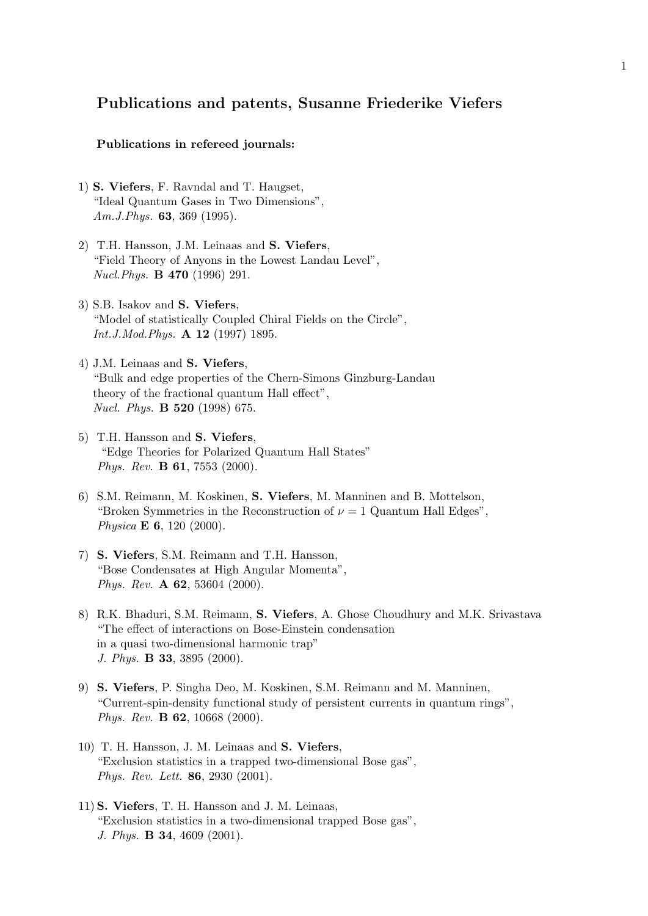## Publications and patents, Susanne Friederike Viefers

## Publications in refereed journals:

- 1) S. Viefers, F. Ravndal and T. Haugset, "Ideal Quantum Gases in Two Dimensions",  $Am.J.Phys.$  **63**, 369 (1995).
- 2) T.H. Hansson, J.M. Leinaas and S. Viefers, "Field Theory of Anyons in the Lowest Landau Level", Nucl.Phys. B 470 (1996) 291.
- 3) S.B. Isakov and S. Viefers, "Model of statistically Coupled Chiral Fields on the Circle", Int.J.Mod.Phys. A 12 (1997) 1895.
- 4) J.M. Leinaas and S. Viefers, "Bulk and edge properties of the Chern-Simons Ginzburg-Landau theory of the fractional quantum Hall effect", Nucl. Phys. B 520 (1998) 675.
- 5) T.H. Hansson and S. Viefers, "Edge Theories for Polarized Quantum Hall States" Phys. Rev. B 61, 7553 (2000).
- 6) S.M. Reimann, M. Koskinen, S. Viefers, M. Manninen and B. Mottelson, "Broken Symmetries in the Reconstruction of  $\nu = 1$  Quantum Hall Edges", Physica **E 6**, 120 (2000).
- 7) S. Viefers, S.M. Reimann and T.H. Hansson, "Bose Condensates at High Angular Momenta", Phys. Rev. A 62, 53604 (2000).
- 8) R.K. Bhaduri, S.M. Reimann, S. Viefers, A. Ghose Choudhury and M.K. Srivastava "The effect of interactions on Bose-Einstein condensation in a quasi two-dimensional harmonic trap" J. Phys. B 33, 3895 (2000).
- 9) S. Viefers, P. Singha Deo, M. Koskinen, S.M. Reimann and M. Manninen, "Current-spin-density functional study of persistent currents in quantum rings", Phys. Rev. B 62, 10668 (2000).
- 10) T. H. Hansson, J. M. Leinaas and S. Viefers, "Exclusion statistics in a trapped two-dimensional Bose gas", Phys. Rev. Lett. 86, 2930 (2001).
- 11) S. Viefers, T. H. Hansson and J. M. Leinaas, "Exclusion statistics in a two-dimensional trapped Bose gas", J. Phys. B 34, 4609 (2001).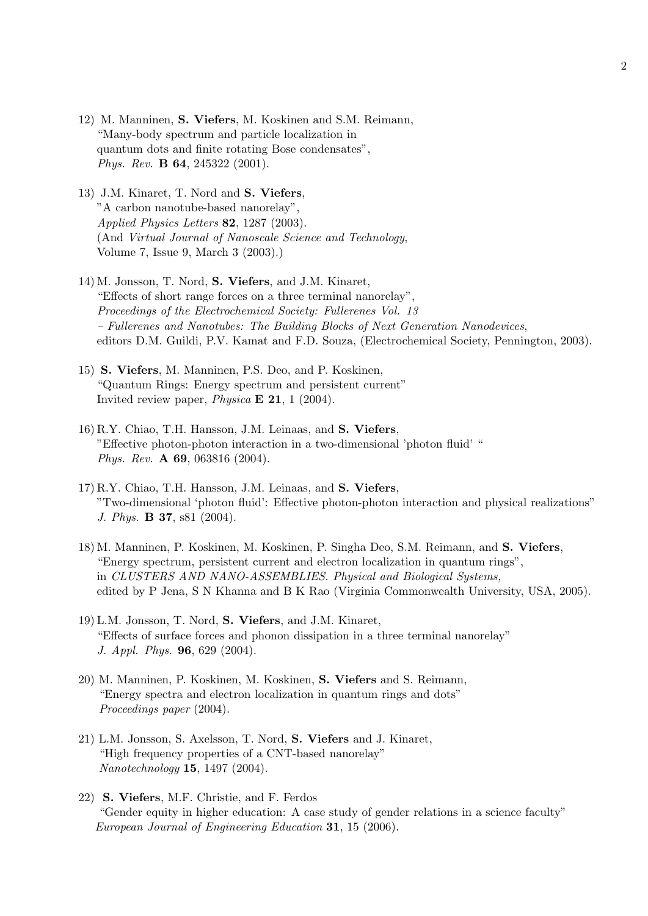- 12) M. Manninen, S. Viefers, M. Koskinen and S.M. Reimann, "Many-body spectrum and particle localization in quantum dots and finite rotating Bose condensates", Phys. Rev. B 64, 245322 (2001).
- 13) J.M. Kinaret, T. Nord and S. Viefers, "A carbon nanotube-based nanorelay", Applied Physics Letters 82, 1287 (2003). (And Virtual Journal of Nanoscale Science and Technology, Volume 7, Issue 9, March 3 (2003).)
- 14) M. Jonsson, T. Nord, S. Viefers, and J.M. Kinaret, "Effects of short range forces on a three terminal nanorelay", Proceedings of the Electrochemical Society: Fullerenes Vol. 13 – Fullerenes and Nanotubes: The Building Blocks of Next Generation Nanodevices, editors D.M. Guildi, P.V. Kamat and F.D. Souza, (Electrochemical Society, Pennington, 2003).
- 15) S. Viefers, M. Manninen, P.S. Deo, and P. Koskinen, "Quantum Rings: Energy spectrum and persistent current" Invited review paper, *Physica*  $\mathbf{E}$  **21**, 1 (2004).
- 16) R.Y. Chiao, T.H. Hansson, J.M. Leinaas, and S. Viefers, "Effective photon-photon interaction in a two-dimensional 'photon fluid' " Phys. Rev. A 69, 063816 (2004).
- 17) R.Y. Chiao, T.H. Hansson, J.M. Leinaas, and S. Viefers, "Two-dimensional 'photon fluid': Effective photon-photon interaction and physical realizations" J. Phys. B 37, s81 (2004).
- 18) M. Manninen, P. Koskinen, M. Koskinen, P. Singha Deo, S.M. Reimann, and S. Viefers, "Energy spectrum, persistent current and electron localization in quantum rings", in CLUSTERS AND NANO-ASSEMBLIES. Physical and Biological Systems, edited by P Jena, S N Khanna and B K Rao (Virginia Commonwealth University, USA, 2005).
- 19) L.M. Jonsson, T. Nord, S. Viefers, and J.M. Kinaret, "Effects of surface forces and phonon dissipation in a three terminal nanorelay" J. Appl. Phys. 96, 629 (2004).
- 20) M. Manninen, P. Koskinen, M. Koskinen, S. Viefers and S. Reimann, "Energy spectra and electron localization in quantum rings and dots" Proceedings paper (2004).
- 21) L.M. Jonsson, S. Axelsson, T. Nord, S. Viefers and J. Kinaret, "High frequency properties of a CNT-based nanorelay" Nanotechnology 15, 1497 (2004).
- 22) S. Viefers, M.F. Christie, and F. Ferdos "Gender equity in higher education: A case study of gender relations in a science faculty" European Journal of Engineering Education 31, 15 (2006).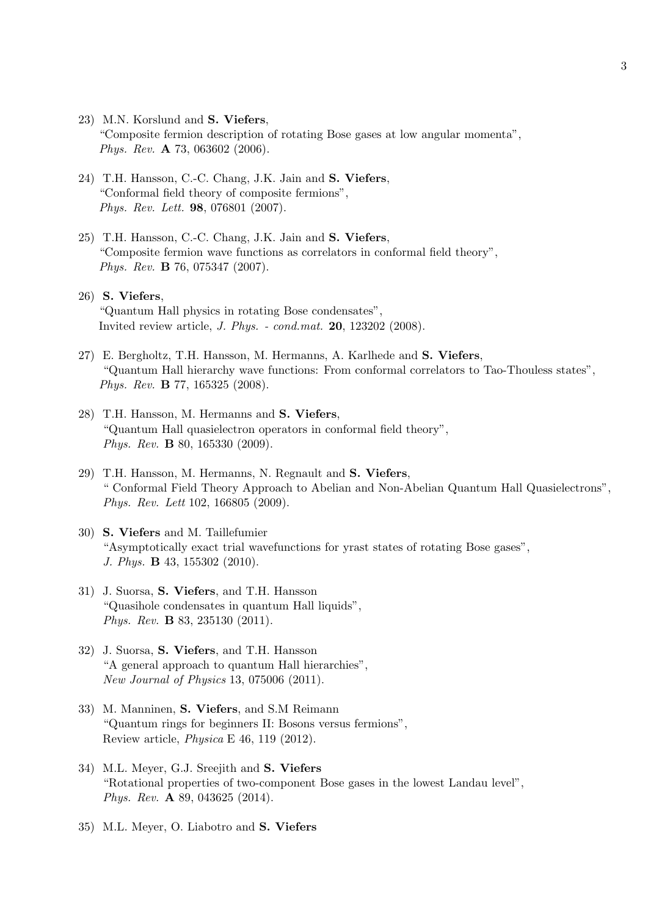- 23) M.N. Korslund and S. Viefers, "Composite fermion description of rotating Bose gases at low angular momenta", Phys. Rev. A 73, 063602 (2006).
- 24) T.H. Hansson, C.-C. Chang, J.K. Jain and S. Viefers, "Conformal field theory of composite fermions", Phys. Rev. Lett. 98, 076801 (2007).
- 25) T.H. Hansson, C.-C. Chang, J.K. Jain and S. Viefers, "Composite fermion wave functions as correlators in conformal field theory", Phys. Rev. B 76, 075347 (2007).
- 26) S. Viefers, "Quantum Hall physics in rotating Bose condensates", Invited review article, J. Phys. - cond.mat. 20, 123202 (2008).
- 27) E. Bergholtz, T.H. Hansson, M. Hermanns, A. Karlhede and S. Viefers, "Quantum Hall hierarchy wave functions: From conformal correlators to Tao-Thouless states", Phys. Rev. B 77, 165325 (2008).
- 28) T.H. Hansson, M. Hermanns and S. Viefers, "Quantum Hall quasielectron operators in conformal field theory", Phys. Rev. B 80, 165330 (2009).
- 29) T.H. Hansson, M. Hermanns, N. Regnault and S. Viefers, " Conformal Field Theory Approach to Abelian and Non-Abelian Quantum Hall Quasielectrons", Phys. Rev. Lett 102, 166805 (2009).
- 30) S. Viefers and M. Taillefumier "Asymptotically exact trial wavefunctions for yrast states of rotating Bose gases", J. Phys. B 43, 155302 (2010).
- 31) J. Suorsa, S. Viefers, and T.H. Hansson "Quasihole condensates in quantum Hall liquids", Phys. Rev. B 83, 235130 (2011).
- 32) J. Suorsa, S. Viefers, and T.H. Hansson "A general approach to quantum Hall hierarchies", New Journal of Physics 13, 075006 (2011).
- 33) M. Manninen, S. Viefers, and S.M Reimann "Quantum rings for beginners II: Bosons versus fermions", Review article, Physica E 46, 119 (2012).
- 34) M.L. Meyer, G.J. Sreejith and S. Viefers "Rotational properties of two-component Bose gases in the lowest Landau level", Phys. Rev. A 89, 043625 (2014).
- 35) M.L. Meyer, O. Liabotro and S. Viefers